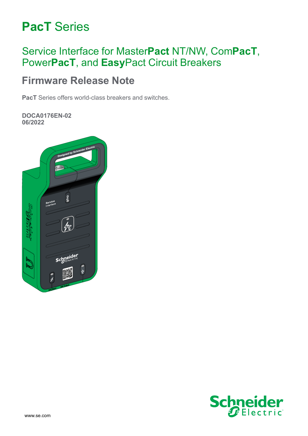# **PacT** Series

# Service Interface for Master**Pact** NT/NW, Com**PacT**, Power**PacT**, and **Easy**Pact Circuit Breakers

# **Firmware Release Note**

**PacT** Series offers world-class breakers and switches.

**DOCA0176EN-02 06/2022**



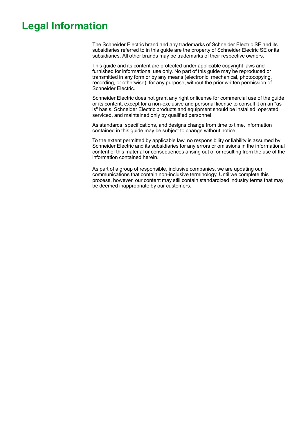# **Legal Information**

The Schneider Electric brand and any trademarks of Schneider Electric SE and its subsidiaries referred to in this guide are the property of Schneider Electric SE or its subsidiaries. All other brands may be trademarks of their respective owners.

This guide and its content are protected under applicable copyright laws and furnished for informational use only. No part of this guide may be reproduced or transmitted in any form or by any means (electronic, mechanical, photocopying, recording, or otherwise), for any purpose, without the prior written permission of Schneider Electric.

Schneider Electric does not grant any right or license for commercial use of the guide or its content, except for a non-exclusive and personal license to consult it on an "as is" basis. Schneider Electric products and equipment should be installed, operated, serviced, and maintained only by qualified personnel.

As standards, specifications, and designs change from time to time, information contained in this guide may be subject to change without notice.

To the extent permitted by applicable law, no responsibility or liability is assumed by Schneider Electric and its subsidiaries for any errors or omissions in the informational content of this material or consequences arising out of or resulting from the use of the information contained herein.

As part of a group of responsible, inclusive companies, we are updating our communications that contain non-inclusive terminology. Until we complete this process, however, our content may still contain standardized industry terms that may be deemed inappropriate by our customers.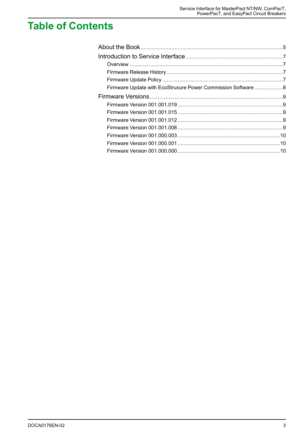# **Table of Contents**

| Firmware Update with EcoStruxure Power Commission Software 8 |  |
|--------------------------------------------------------------|--|
|                                                              |  |
|                                                              |  |
|                                                              |  |
|                                                              |  |
|                                                              |  |
|                                                              |  |
|                                                              |  |
|                                                              |  |
|                                                              |  |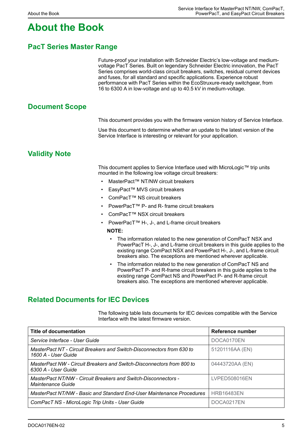# <span id="page-4-0"></span>**About the Book**

#### **PacT Series Master Range**

Future-proof your installation with Schneider Electric's low-voltage and mediumvoltage PacT Series. Built on legendary Schneider Electric innovation, the PacT Series comprises world-class circuit breakers, switches, residual current devices and fuses, for all standard and specific applications. Experience robust performance with PacT Series within the EcoStruxure-ready switchgear, from 16 to 6300 A in low-voltage and up to 40.5 kV in medium-voltage.

#### **Document Scope**

This document provides you with the firmware version history of Service Interface.

Use this document to determine whether an update to the latest version of the Service Interface is interesting or relevant for your application.

#### **Validity Note**

This document applies to Service Interface used with MicroLogic™ trip units mounted in the following low voltage circuit breakers:

- MasterPact™ NT/NW circuit breakers
- EasyPact™ MVS circuit breakers
- ComPacT™ NS circuit breakers
- PowerPacT™ P- and R- frame circuit breakers
- ComPacT™ NSX circuit breakers
- PowerPacT™ H-, J-, and L-frame circuit breakers

**NOTE:**

- The information related to the new generation of ComPacT NSX and PowerPacT H-, J-, and L-frame circuit breakers in this guide applies to the existing range ComPact NSX and PowerPact H-, J-, and L-frame circuit breakers also. The exceptions are mentioned wherever applicable.
- The information related to the new generation of ComPacT NS and PowerPacT P- and R-frame circuit breakers in this guide applies to the existing range ComPact NS and PowerPact P- and R-frame circuit breakers also. The exceptions are mentioned wherever applicable.

#### **Related Documents for IEC Devices**

The following table lists documents for IEC devices compatible with the Service Interface with the latest firmware version.

| Title of documentation                                                                       | Reference number  |
|----------------------------------------------------------------------------------------------|-------------------|
| Service Interface - User Guide                                                               | DOCA0170EN        |
| MasterPact NT - Circuit Breakers and Switch-Disconnectors from 630 to<br>1600 A - User Guide | 51201116AA (EN)   |
| MasterPact NW - Circuit Breakers and Switch-Disconnectors from 800 to<br>6300 A - User Guide | 04443720AA (EN)   |
| MasterPact NT/NW - Circuit Breakers and Switch-Disconnectors -<br>Maintenance Guide          | LVPED508016EN     |
| MasterPact NT/NW - Basic and Standard End-User Maintenance Procedures                        | <b>HRB16483EN</b> |
| ComPacT NS - MicroLogic Trip Units - User Guide                                              | DOCA0217EN        |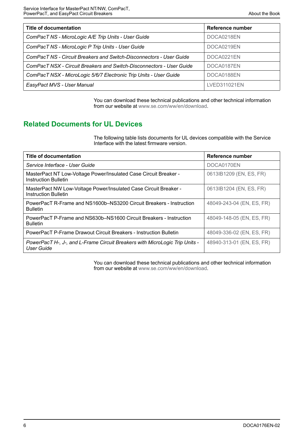| <b>Title of documentation</b>                                        | Reference number |
|----------------------------------------------------------------------|------------------|
| ComPacT NS - MicroLogic A/E Trip Units - User Guide                  | DOCA0218EN       |
| ComPacT NS - MicroLogic P Trip Units - User Guide                    | DOCA0219EN       |
| ComPacT NS - Circuit Breakers and Switch-Disconnectors - User Guide  | DOCA0221EN       |
| ComPacT NSX - Circuit Breakers and Switch-Disconnectors - User Guide | DOCA0187EN       |
| ComPacT NSX - MicroLogic 5/6/7 Electronic Trip Units - User Guide    | DOCA0188EN       |
| EasyPact MVS - User Manual                                           | LVED311021EN     |

You can download these technical publications and other technical information from our website at [www.se.com/ww/en/download](https://www.se.com/ww/en/download).

#### **Related Documents for UL Devices**

The following table lists documents for UL devices compatible with the Service Interface with the latest firmware version.

| <b>Title of documentation</b>                                                                    | Reference number          |
|--------------------------------------------------------------------------------------------------|---------------------------|
| Service Interface - User Guide                                                                   | DOCA0170EN                |
| MasterPact NT Low-Voltage Power/Insulated Case Circuit Breaker -<br><b>Instruction Bulletin</b>  | 0613IB1209 (EN, ES, FR)   |
| MasterPact NW Low-Voltage Power/Insulated Case Circuit Breaker -<br><b>Instruction Bulletin</b>  | 0613IB1204 (EN, ES, FR)   |
| PowerPacT R-Frame and NS1600b–NS3200 Circuit Breakers - Instruction<br><b>Bulletin</b>           | 48049-243-04 (EN, ES, FR) |
| PowerPacT P-Frame and NS630b–NS1600 Circuit Breakers - Instruction<br><b>Bulletin</b>            | 48049-148-05 (EN, ES, FR) |
| PowerPacT P-Frame Drawout Circuit Breakers - Instruction Bulletin                                | 48049-336-02 (EN, ES, FR) |
| PowerPacT H-, J-, and L-Frame Circuit Breakers with MicroLogic Trip Units -<br><b>User Guide</b> | 48940-313-01 (EN, ES, FR) |

You can download these technical publications and other technical information from our website at [www.se.com/ww/en/download](https://www.se.com/ww/en/download).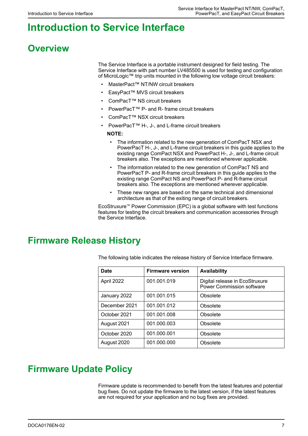# <span id="page-6-0"></span>**Introduction to Service Interface**

# <span id="page-6-1"></span>**Overview**

The Service Interface is a portable instrument designed for field testing. The Service Interface with part number LV485500 is used for testing and configuration of MicroLogic™ trip units mounted in the following low voltage circuit breakers:

- MasterPact™ NT/NW circuit breakers
- EasyPact™ MVS circuit breakers
- ComPacT™ NS circuit breakers
- PowerPacT™ P- and R- frame circuit breakers
- ComPacT™ NSX circuit breakers
- PowerPacT™ H-, J-, and L-frame circuit breakers

**NOTE:**

- The information related to the new generation of ComPacT NSX and PowerPacT H-, J-, and L-frame circuit breakers in this guide applies to the existing range ComPact NSX and PowerPact H-, J-, and L-frame circuit breakers also. The exceptions are mentioned wherever applicable.
- The information related to the new generation of ComPacT NS and PowerPacT P- and R-frame circuit breakers in this guide applies to the existing range ComPact NS and PowerPact P- and R-frame circuit breakers also. The exceptions are mentioned wherever applicable.
- These new ranges are based on the same technical and dimensional architecture as that of the exiting range of circuit breakers.

EcoStruxure™ Power Commission (EPC) is a global software with test functions features for testing the circuit breakers and communication accessories through the Service Interface.

### <span id="page-6-2"></span>**Firmware Release History**

The following table indicates the release history of Service Interface firmware.

| <b>Date</b>   | <b>Firmware version</b> | <b>Availability</b>                                                |
|---------------|-------------------------|--------------------------------------------------------------------|
| April 2022    | 001.001.019             | Digital release in EcoStruxure<br><b>Power Commission software</b> |
| January 2022  | 001.001.015             | Obsolete                                                           |
| December 2021 | 001.001.012             | Obsolete                                                           |
| October 2021  | 001.001.008             | Obsolete                                                           |
| August 2021   | 001.000.003             | Obsolete                                                           |
| October 2020  | 001.000.001             | Obsolete                                                           |
| August 2020   | 001.000.000             | Obsolete                                                           |

### <span id="page-6-3"></span>**Firmware Update Policy**

Firmware update is recommended to benefit from the latest features and potential bug fixes. Do not update the firmware to the latest version, if the latest features are not required for your application and no bug fixes are provided.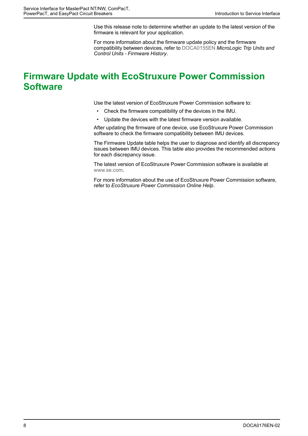Use this release note to determine whether an update to the latest version of the firmware is relevant for your application.

For more information about the firmware update policy and the firmware compatibility between devices, refer to [DOCA0155EN](https://www.se.com/ww/en/download/document/DOCA0155EN) *MicroLogic Trip Units and Control Units - Firmware History*.

## <span id="page-7-0"></span>**Firmware Update with EcoStruxure Power Commission Software**

Use the latest version of EcoStruxure Power Commission software to:

- Check the firmware compatibility of the devices in the IMU.
- Update the devices with the latest firmware version available.

After updating the firmware of one device, use EcoStruxure Power Commission software to check the firmware compatibility between IMU devices.

The Firmware Update table helps the user to diagnose and identify all discrepancy issues between IMU devices. This table also provides the recommended actions for each discrepancy issue.

The latest version of EcoStruxure Power Commission software is available at [www.se.com](https://www.se.com).

For more information about the use of EcoStruxure Power Commission software, refer to *EcoStruxure Power Commission Online Help*.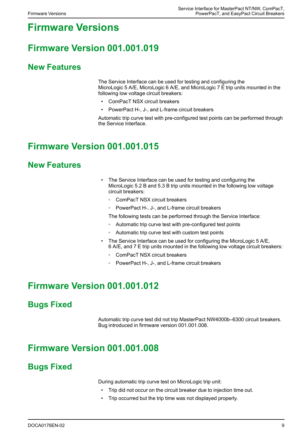# <span id="page-8-0"></span>**Firmware Versions**

# <span id="page-8-1"></span>**Firmware Version 001.001.019**

### **New Features**

The Service Interface can be used for testing and configuring the MicroLogic 5 A/E, MicroLogic 6 A/E, and MicroLogic 7 E trip units mounted in the following low voltage circuit breakers:

- ComPacT NSX circuit breakers
- PowerPact H-, J-, and L-frame circuit breakers

Automatic trip curve test with pre-configured test points can be performed through the Service Interface.

## <span id="page-8-2"></span>**Firmware Version 001.001.015**

#### **New Features**

- The Service Interface can be used for testing and configuring the MicroLogic 5.2 B and 5.3 B trip units mounted in the following low voltage circuit breakers:
	- ComPacT NSX circuit breakers
	- PowerPact H-, J-, and L-frame circuit breakers
	- The following tests can be performed through the Service Interface:
	- Automatic trip curve test with pre-configured test points
	- Automatic trip curve test with custom test points
- The Service Interface can be used for configuring the MicroLogic 5 A/E, 6 A/E, and 7 E trip units mounted in the following low voltage circuit breakers:
	- ComPacT NSX circuit breakers
	- PowerPact H-, J-, and L-frame circuit breakers

### <span id="page-8-3"></span>**Firmware Version 001.001.012**

### **Bugs Fixed**

Automatic trip curve test did not trip MasterPact NW4000b–6300 circuit breakers. Bug introduced in firmware version 001.001.008.

## <span id="page-8-4"></span>**Firmware Version 001.001.008**

#### **Bugs Fixed**

During automatic trip curve test on MicroLogic trip unit:

- Trip did not occur on the circuit breaker due to injection time out.
- Trip occurred but the trip time was not displayed properly.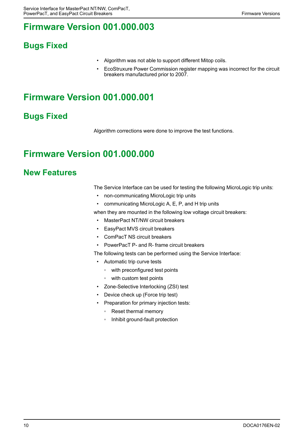# <span id="page-9-0"></span>**Firmware Version 001.000.003**

### **Bugs Fixed**

- Algorithm was not able to support different Mitop coils.
- EcoStruxure Power Commission register mapping was incorrect for the circuit breakers manufactured prior to 2007.

# <span id="page-9-1"></span>**Firmware Version 001.000.001**

### **Bugs Fixed**

Algorithm corrections were done to improve the test functions.

# <span id="page-9-2"></span>**Firmware Version 001.000.000**

### **New Features**

The Service Interface can be used for testing the following MicroLogic trip units:

- non-communicating MicroLogic trip units
- communicating MicroLogic A, E, P, and H trip units

when they are mounted in the following low voltage circuit breakers:

- MasterPact NT/NW circuit breakers
- EasyPact MVS circuit breakers
- ComPacT NS circuit breakers
- PowerPacT P- and R- frame circuit breakers

The following tests can be performed using the Service Interface:

- Automatic trip curve tests
	- with preconfigured test points
	- with custom test points
- Zone-Selective Interlocking (ZSI) test
- Device check up (Force trip test)
- Preparation for primary injection tests:
	- Reset thermal memory
	- Inhibit ground-fault protection